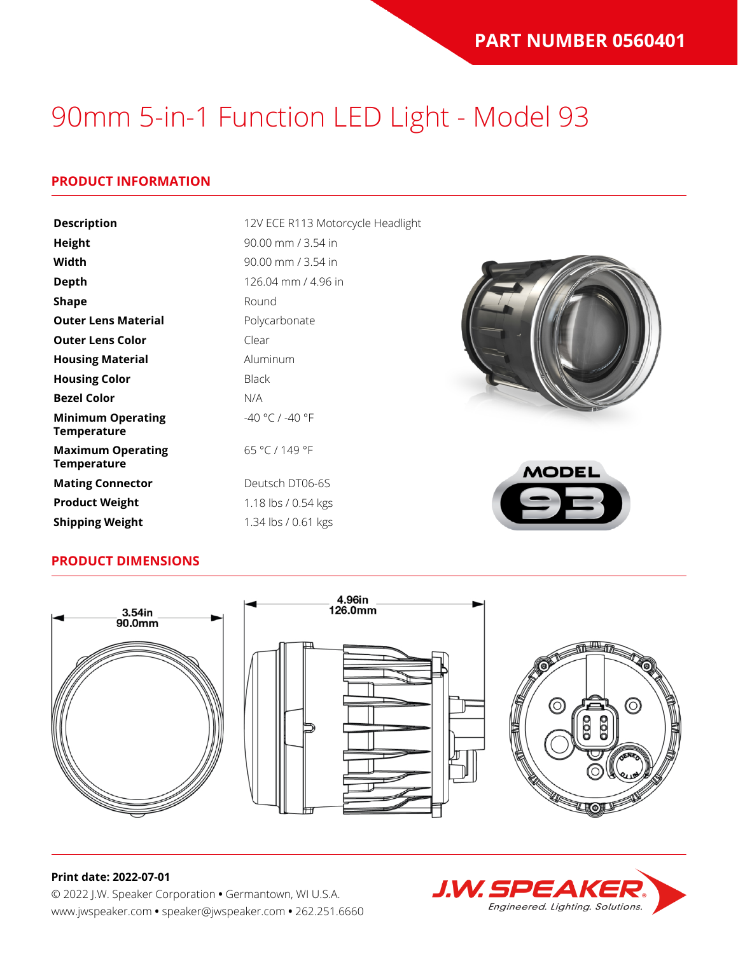### **PRODUCT INFORMATION**

| <b>Description</b>                             | 12V ECE R113 Motorcycle Headlight |              |
|------------------------------------------------|-----------------------------------|--------------|
| <b>Height</b>                                  | 90.00 mm / 3.54 in                |              |
| Width                                          | 90.00 mm / 3.54 in                |              |
| <b>Depth</b>                                   | 126.04 mm / 4.96 in               |              |
| <b>Shape</b>                                   | Round                             |              |
| <b>Outer Lens Material</b>                     | Polycarbonate                     |              |
| <b>Outer Lens Color</b>                        | Clear                             |              |
| <b>Housing Material</b>                        | Aluminum                          |              |
| <b>Housing Color</b>                           | <b>Black</b>                      |              |
| <b>Bezel Color</b>                             | N/A                               |              |
| <b>Minimum Operating</b><br><b>Temperature</b> | -40 °C / -40 °F                   |              |
| <b>Maximum Operating</b><br><b>Temperature</b> | 65 °C / 149 °F                    | <b>MODEL</b> |
| <b>Mating Connector</b>                        | Deutsch DT06-6S                   |              |
| <b>Product Weight</b>                          | 1.18 lbs / 0.54 kgs               |              |
| <b>Shipping Weight</b>                         | 1.34 lbs / 0.61 kgs               |              |

#### **PRODUCT DIMENSIONS**



#### **Print date: 2022-07-01**

© 2022 J.W. Speaker Corporation **•** Germantown, WI U.S.A. www.jwspeaker.com **•** speaker@jwspeaker.com **•** 262.251.6660

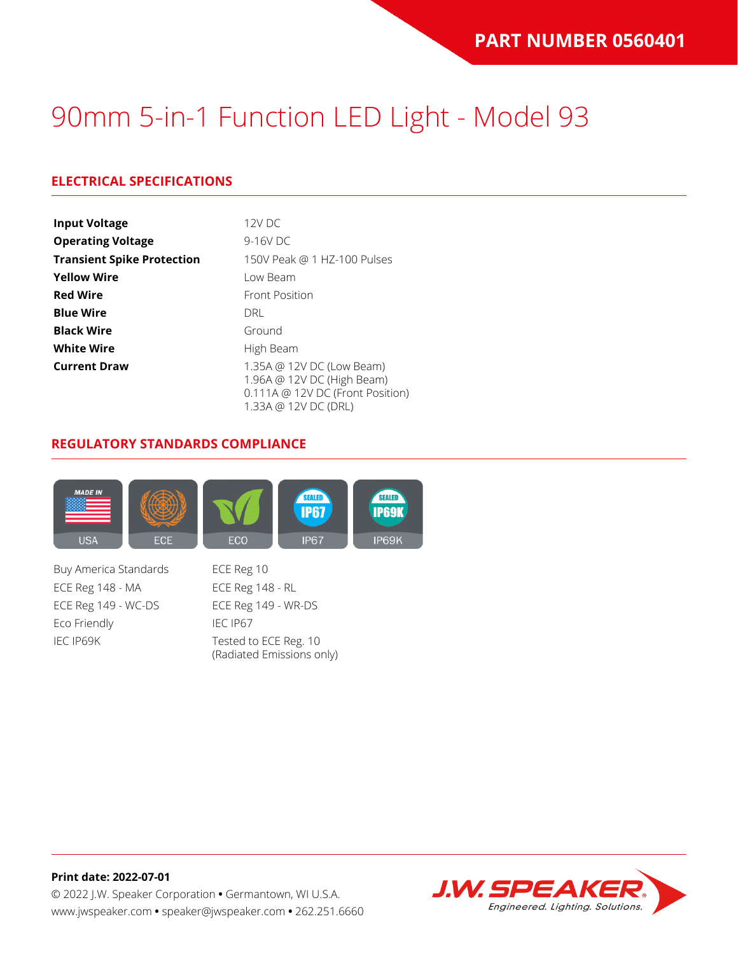### **ELECTRICAL SPECIFICATIONS**

| <b>Input Voltage</b>              | $12V$ DC                                                                                                            |  |  |  |  |
|-----------------------------------|---------------------------------------------------------------------------------------------------------------------|--|--|--|--|
| <b>Operating Voltage</b>          | 9-16V DC                                                                                                            |  |  |  |  |
| <b>Transient Spike Protection</b> | 150V Peak @ 1 HZ-100 Pulses                                                                                         |  |  |  |  |
| <b>Yellow Wire</b>                | Low Beam                                                                                                            |  |  |  |  |
| <b>Red Wire</b>                   | <b>Front Position</b>                                                                                               |  |  |  |  |
| <b>Blue Wire</b>                  | <b>DRI</b>                                                                                                          |  |  |  |  |
| <b>Black Wire</b>                 | Ground                                                                                                              |  |  |  |  |
| <b>White Wire</b>                 | High Beam                                                                                                           |  |  |  |  |
| <b>Current Draw</b>               | 1.35A @ 12V DC (Low Beam)<br>1.96A @ 12V DC (High Beam)<br>0.111A @ 12V DC (Front Position)<br>1.33A @ 12V DC (DRL) |  |  |  |  |

#### **REGULATORY STANDARDS COMPLIANCE**



Buy America Standards ECE Reg 10 ECE Reg 148 - MA ECE Reg 148 - RL ECE Reg 149 - WC-DS ECE Reg 149 - WR-DS Eco Friendly IEC IP67 IEC IP69K Tested to ECE Reg. 10

(Radiated Emissions only)



**Print date: 2022-07-01** © 2022 J.W. Speaker Corporation **•** Germantown, WI U.S.A. www.jwspeaker.com **•** speaker@jwspeaker.com **•** 262.251.6660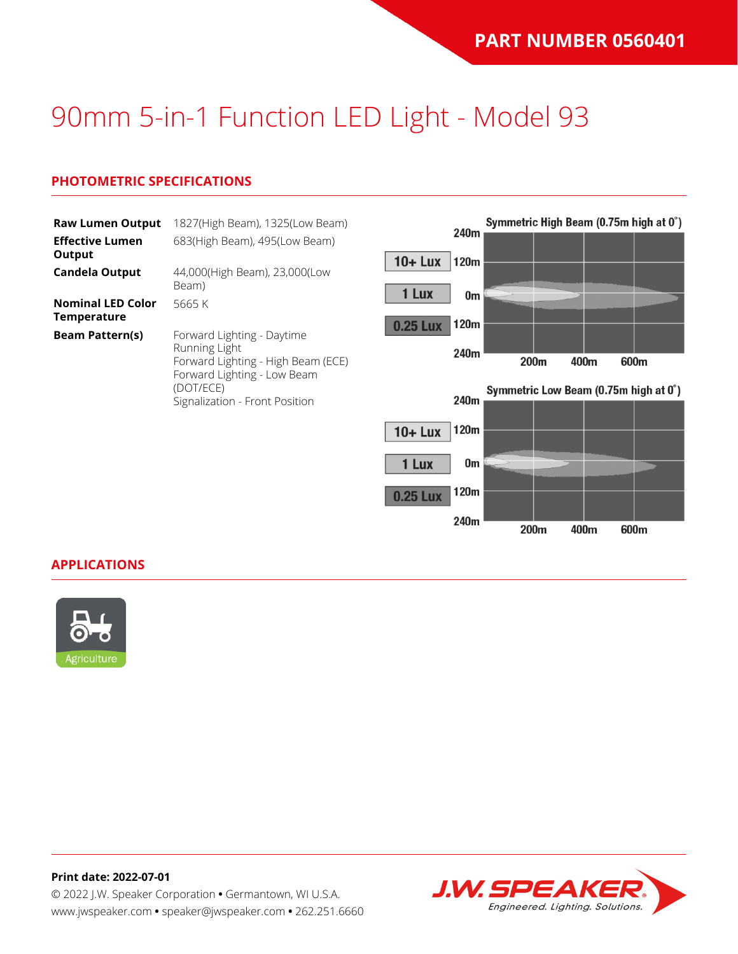$0^{\circ}$ 

# 90mm 5-in-1 Function LED Light - Model 93

### **PHOTOMETRIC SPECIFICATIONS**

| <b>Raw Lumen Output</b><br><b>Effective Lumen</b> | 1827(High Beam), 1325(Low Beam)<br>683(High Beam), 495(Low Beam)                                                                                                |                 | 240m |                  |      | Symmetric High Beam (0.75m high at 0°) |
|---------------------------------------------------|-----------------------------------------------------------------------------------------------------------------------------------------------------------------|-----------------|------|------------------|------|----------------------------------------|
| Output<br><b>Candela Output</b>                   | 44,000(High Beam), 23,000(Low                                                                                                                                   | $10 +$ Lux      | 120m |                  |      |                                        |
| <b>Nominal LED Color</b>                          | Beam)<br>5665 K                                                                                                                                                 | 1 Lux           | 0m   |                  |      |                                        |
| <b>Temperature</b><br><b>Beam Pattern(s)</b>      | Forward Lighting - Daytime<br>Running Light<br>Forward Lighting - High Beam (ECE)<br>Forward Lighting - Low Beam<br>(DOT/ECE)<br>Signalization - Front Position | <b>0.25 Lux</b> | 120m |                  |      |                                        |
|                                                   |                                                                                                                                                                 |                 | 240m | 200 <sub>m</sub> | 400m | 600m                                   |
|                                                   |                                                                                                                                                                 |                 | 240m |                  |      | Symmetric Low Beam (0.75m high at 0°)  |
|                                                   |                                                                                                                                                                 | $10 +$ Lux      | 120m |                  |      |                                        |
|                                                   |                                                                                                                                                                 | 1 Lux           | 0m   |                  |      |                                        |

120m

240m

200m

400m

600m

**0.25 Lux** 

**APPLICATIONS**



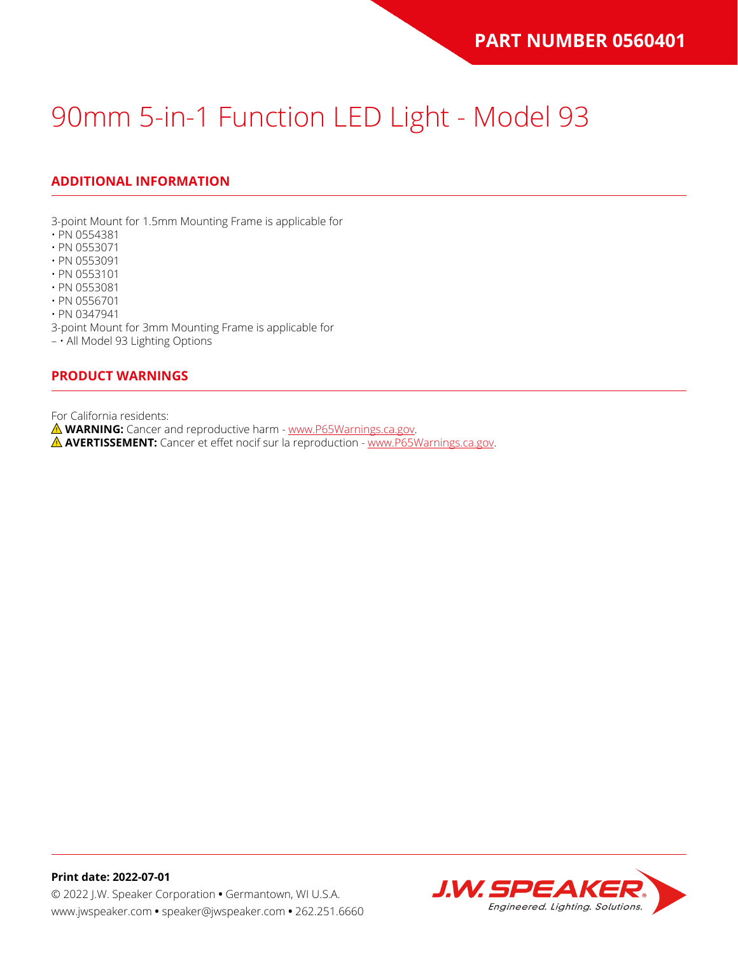## **ADDITIONAL INFORMATION**

3-point Mount for 1.5mm Mounting Frame is applicable for

- PN 0554381
- PN 0553071
- PN 0553091
- PN 0553101
- PN 0553081
- PN 0556701

• PN 0347941

3-point Mount for 3mm Mounting Frame is applicable for

– • All Model 93 Lighting Options

#### **PRODUCT WARNINGS**

For California residents:

**WARNING:** Cancer and reproductive harm - [www.P65Warnings.ca.gov](https://www.p65warnings.ca.gov/).

**AVERTISSEMENT:** Cancer et effet nocif sur la reproduction - [www.P65Warnings.ca.gov.](https://www.p65warnings.ca.gov/)

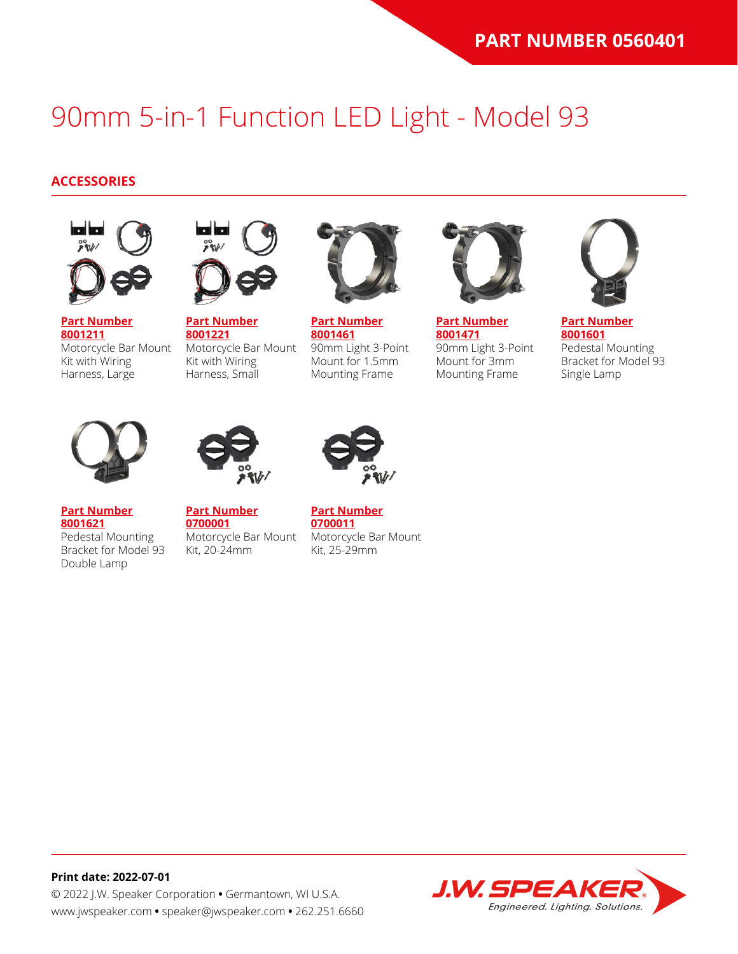#### **ACCESSORIES**



**[Part Number](https://www.jwspeaker.com/products/90mm-headlights-model-93/8001211/) [8001211](https://www.jwspeaker.com/products/90mm-headlights-model-93/8001211/)** Motorcycle Bar Mount Kit with Wiring Harness, Large



**[Part Number](https://www.jwspeaker.com/products/90mm-headlights-model-93/8001221/) [8001221](https://www.jwspeaker.com/products/90mm-headlights-model-93/8001221/)** Motorcycle Bar Mount Kit with Wiring Harness, Small



**[Part Number](https://www.jwspeaker.com/products/90mm-headlights-model-93/8001461/) [8001461](https://www.jwspeaker.com/products/90mm-headlights-model-93/8001461/)** 90mm Light 3-Point Mount for 1.5mm Mounting Frame



**[Part Number](https://www.jwspeaker.com/products/90mm-headlights-model-93/8001471/) [8001471](https://www.jwspeaker.com/products/90mm-headlights-model-93/8001471/)** 90mm Light 3-Point Mount for 3mm Mounting Frame



**[Part Number](https://www.jwspeaker.com/products/90mm-headlights-model-93/8001601/) [8001601](https://www.jwspeaker.com/products/90mm-headlights-model-93/8001601/)** Pedestal Mounting Bracket for Model 93 Single Lamp



**[Part Number](https://www.jwspeaker.com/products/90mm-headlights-model-93/8001621/) [8001621](https://www.jwspeaker.com/products/90mm-headlights-model-93/8001621/)**

Double Lamp

Pedestal Mounting



**[Part Number](https://www.jwspeaker.com/?post_type=part&p=26513&preview=true) [0700001](https://www.jwspeaker.com/?post_type=part&p=26513&preview=true)** Bracket for Model 93 Motorcycle Bar Mount Kit, 20-24mm



**[Part Number](https://www.jwspeaker.com/?post_type=part&p=26512&preview=true) [0700011](https://www.jwspeaker.com/?post_type=part&p=26512&preview=true)** Motorcycle Bar Mount Kit, 25-29mm